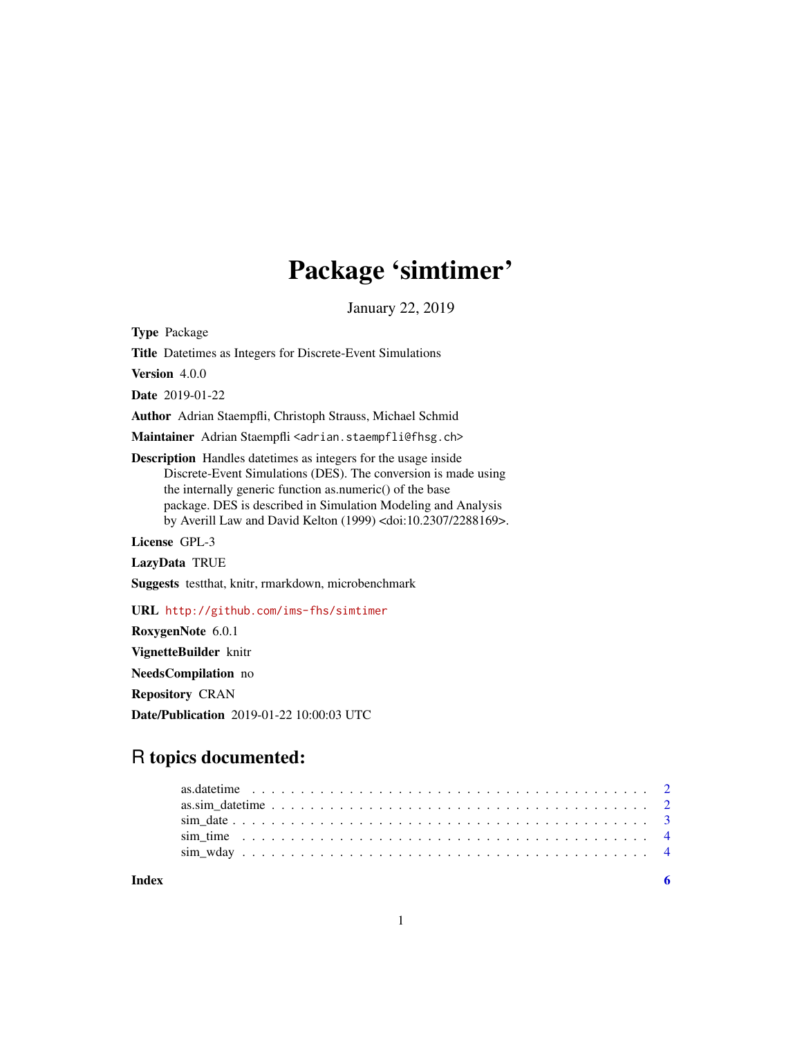## Package 'simtimer'

January 22, 2019

Type Package Title Datetimes as Integers for Discrete-Event Simulations Version 4.0.0 Date 2019-01-22 Author Adrian Staempfli, Christoph Strauss, Michael Schmid Maintainer Adrian Staempfli <adrian.staempfli@fhsg.ch> Description Handles datetimes as integers for the usage inside Discrete-Event Simulations (DES). The conversion is made using the internally generic function as.numeric() of the base package. DES is described in Simulation Modeling and Analysis by Averill Law and David Kelton (1999) <doi:10.2307/2288169>. License GPL-3 LazyData TRUE Suggests testthat, knitr, rmarkdown, microbenchmark URL <http://github.com/ims-fhs/simtimer> RoxygenNote 6.0.1

VignetteBuilder knitr

NeedsCompilation no

Repository CRAN

Date/Publication 2019-01-22 10:00:03 UTC

### R topics documented:

| Index |  |  |  |  |  |  |  |  |  |  |  |  |  |  |  |  |  |  |
|-------|--|--|--|--|--|--|--|--|--|--|--|--|--|--|--|--|--|--|
|       |  |  |  |  |  |  |  |  |  |  |  |  |  |  |  |  |  |  |
|       |  |  |  |  |  |  |  |  |  |  |  |  |  |  |  |  |  |  |
|       |  |  |  |  |  |  |  |  |  |  |  |  |  |  |  |  |  |  |
|       |  |  |  |  |  |  |  |  |  |  |  |  |  |  |  |  |  |  |
|       |  |  |  |  |  |  |  |  |  |  |  |  |  |  |  |  |  |  |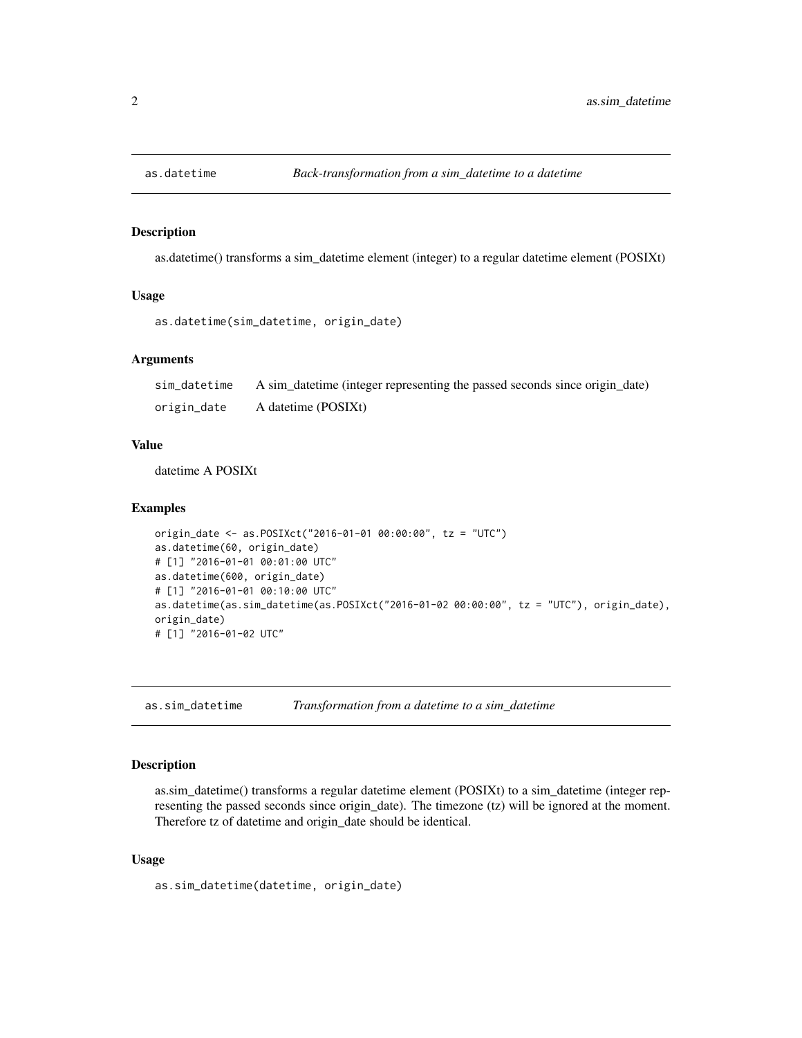<span id="page-1-0"></span>

#### Description

as.datetime() transforms a sim\_datetime element (integer) to a regular datetime element (POSIXt)

#### Usage

```
as.datetime(sim_datetime, origin_date)
```
#### Arguments

sim\_datetime A sim\_datetime (integer representing the passed seconds since origin\_date) origin\_date A datetime (POSIXt)

#### Value

datetime A POSIXt

#### Examples

```
origin_date <- as.POSIXct("2016-01-01 00:00:00", tz = "UTC")
as.datetime(60, origin_date)
# [1] "2016-01-01 00:01:00 UTC"
as.datetime(600, origin_date)
# [1] "2016-01-01 00:10:00 UTC"
as.datetime(as.sim_datetime(as.POSIXct("2016-01-02 00:00:00", tz = "UTC"), origin_date),
origin_date)
# [1] "2016-01-02 UTC"
```
as.sim\_datetime *Transformation from a datetime to a sim\_datetime*

#### Description

as.sim\_datetime() transforms a regular datetime element (POSIXt) to a sim\_datetime (integer representing the passed seconds since origin\_date). The timezone (tz) will be ignored at the moment. Therefore tz of datetime and origin\_date should be identical.

#### Usage

as.sim\_datetime(datetime, origin\_date)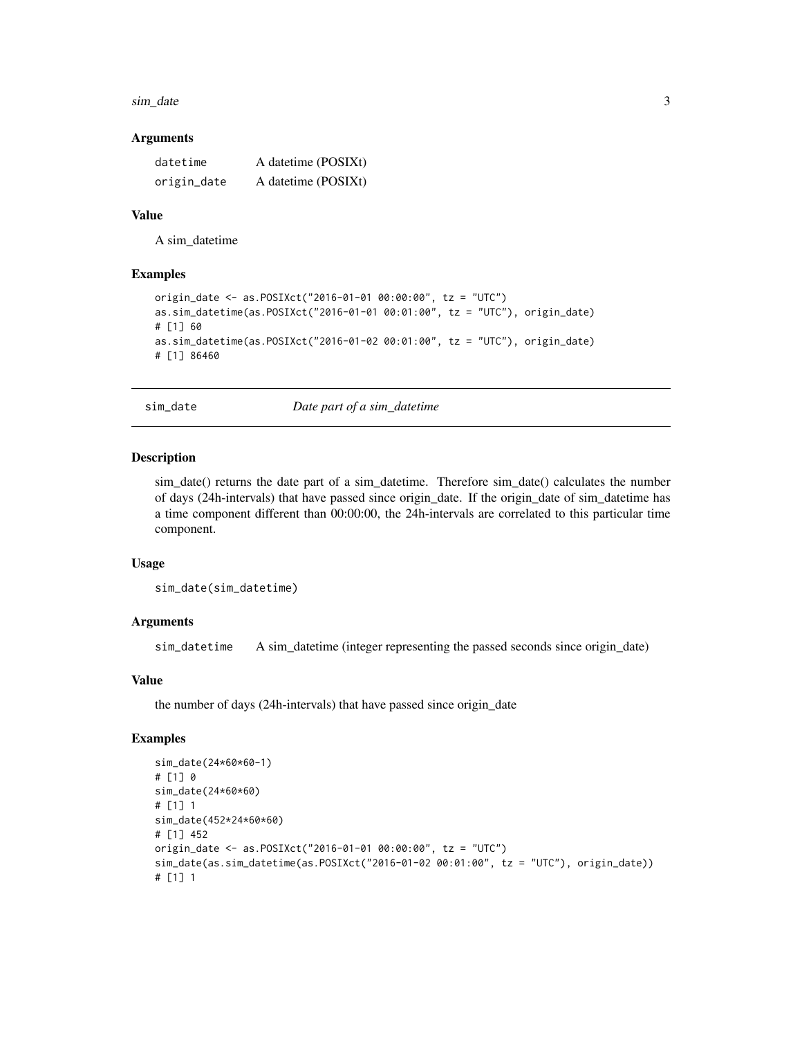#### <span id="page-2-0"></span>sim\_date 3

#### Arguments

| datetime    | A datetime (POSIXt) |
|-------------|---------------------|
| origin_date | A datetime (POSIXt) |

#### Value

A sim\_datetime

#### Examples

```
origin_date <- as.POSIXct("2016-01-01 00:00:00", tz = "UTC")
as.sim_datetime(as.POSIXct("2016-01-01 00:01:00", tz = "UTC"), origin_date)
# [1] 60
as.sim_datetime(as.POSIXct("2016-01-02 00:01:00", tz = "UTC"), origin_date)
# [1] 86460
```
sim\_date *Date part of a sim\_datetime*

#### Description

sim\_date() returns the date part of a sim\_datetime. Therefore sim\_date() calculates the number of days (24h-intervals) that have passed since origin\_date. If the origin\_date of sim\_datetime has a time component different than 00:00:00, the 24h-intervals are correlated to this particular time component.

#### Usage

```
sim_date(sim_datetime)
```
#### Arguments

sim\_datetime A sim\_datetime (integer representing the passed seconds since origin\_date)

#### Value

the number of days (24h-intervals) that have passed since origin\_date

#### Examples

```
sim_date(24*60*60-1)
# [1] 0
sim_date(24*60*60)
# [1] 1
sim_date(452*24*60*60)
# [1] 452
origin_date <- as.POSIXct("2016-01-01 00:00:00", tz = "UTC")
sim_date(as.sim_datetime(as.POSIXct("2016-01-02 00:01:00", tz = "UTC"), origin_date))
# [1] 1
```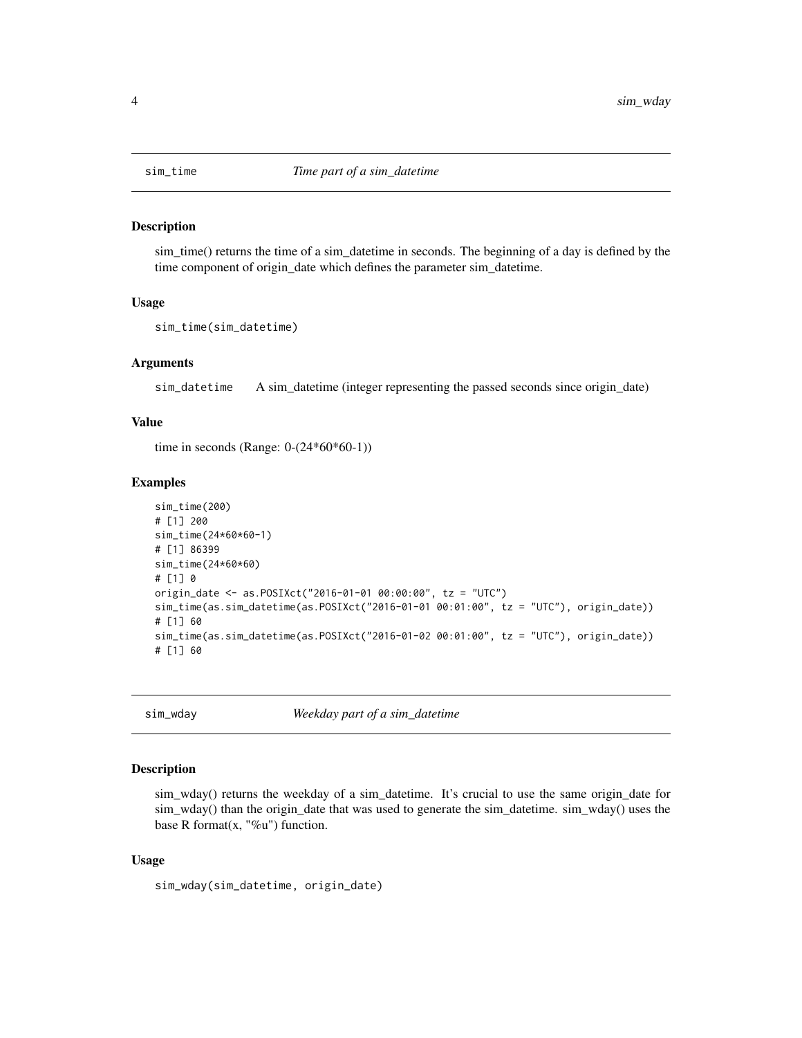<span id="page-3-0"></span>

#### Description

sim\_time() returns the time of a sim\_datetime in seconds. The beginning of a day is defined by the time component of origin\_date which defines the parameter sim\_datetime.

#### Usage

```
sim_time(sim_datetime)
```
#### Arguments

sim\_datetime A sim\_datetime (integer representing the passed seconds since origin\_date)

#### Value

time in seconds (Range: 0-(24\*60\*60-1))

#### Examples

```
sim_time(200)
# [1] 200
sim_time(24*60*60-1)
# [1] 86399
sim_time(24*60*60)
# [1] 0
origin_date <- as.POSIXct("2016-01-01 00:00:00", tz = "UTC")
sim_time(as.sim_datetime(as.POSIXct("2016-01-01 00:01:00", tz = "UTC"), origin_date))
# [1] 60
sim_time(as.sim_datetime(as.POSIXct("2016-01-02 00:01:00", tz = "UTC"), origin_date))
# [1] 60
```
sim\_wday *Weekday part of a sim\_datetime*

#### Description

sim\_wday() returns the weekday of a sim\_datetime. It's crucial to use the same origin\_date for sim\_wday() than the origin\_date that was used to generate the sim\_datetime. sim\_wday() uses the base R format $(x, "$ %u") function.

#### Usage

sim\_wday(sim\_datetime, origin\_date)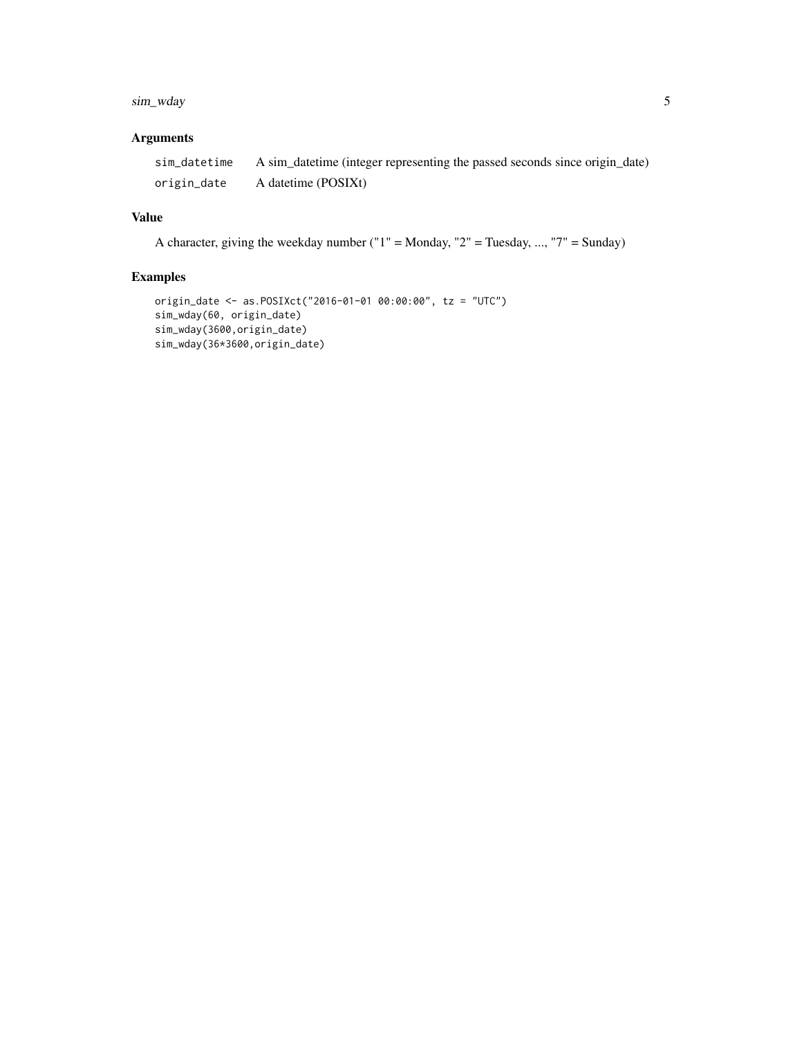#### sim\_wday 5

#### Arguments

|             | sim_datetime A sim_datetime (integer representing the passed seconds since origin_date) |
|-------------|-----------------------------------------------------------------------------------------|
| origin_date | A datetime (POSIXt)                                                                     |

#### Value

A character, giving the weekday number ("1" = Monday, "2" = Tuesday, ..., "7" = Sunday)

#### Examples

```
origin_date <- as.POSIXct("2016-01-01 00:00:00", tz = "UTC")
sim_wday(60, origin_date)
sim_wday(3600,origin_date)
sim_wday(36*3600,origin_date)
```